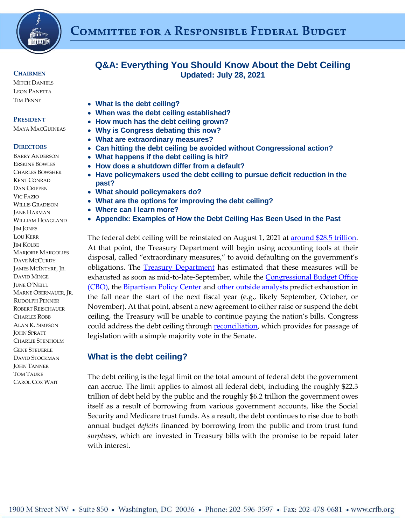

#### **CHAIRMEN**

**MITCH DANIELS** LEON PANETTA TIM PENNY

#### **PRESIDENT**

MAYA MACGUINEAS

#### **DIRECTORS**

BARRY ANDERSON ERSKINE BOWLES CHARLES BOWSHER KENT CONRAD DAN CRIPPEN VIC FAZIO WILLIS GRADISON JANE HARMAN WILLIAM HOAGLAND JIM JONES LOU KERR JIM KOLBE MARJORIE MARGOLIES DAVE MCCURDY JAMES MCINTYRE, JR. DAVID MINGE JUNE O'NEILL MARNE OBERNAUER, JR. RUDOLPH PENNER ROBERT REISCHAUER CHARLES ROBB ALAN K. SIMPSON JOHN SPRATT CHARLIE STENHOLM GENE STEUERLE DAVID STOCKMAN JOHN TANNER TOM TAUKE CAROL COX WAIT

# **Q&A: Everything You Should Know About the Debt Ceiling Updated: July 28, 2021**

- **[What is the debt ceiling?](#page-0-0)**
- **[When was the debt ceiling established?](#page-0-1)**
- **[How much has the debt ceiling grown?](#page-1-0)**
- **[Why is Congress debating this now?](#page-2-0)**
- **[What are extraordinary measures?](#page-2-1)**
- **[Can hitting the debt ceiling be avoided without Congressional action?](#page-2-2)**
- **[What happens if the debt ceiling is hit?](#page-3-0)**
- **[How does a shutdown differ from a default?](#page-3-1)**
- **[Have policymakers used the debt ceiling to pursue deficit reduction in the](#page-4-0)  [past?](#page-4-0)**
- **[What should policymakers do?](#page-4-1)**
- **[What are the options for improving the debt ceiling?](#page-5-0)**
- **[Where can I learn more?](#page-5-1)**
- **Appendix: Examples of How the [Debt Ceiling Has Been Used in the Past](#page-6-0)**

The federal debt ceiling will be reinstated on August 1, 2021 at **around \$28.5** trillion. At that point, the Treasury Department will begin using accounting tools at their disposal, called "extraordinary measures," to avoid defaulting on the government's obligations. The **Treasury Department** has estimated that these measures will be exhausted as soon as mid-to-late-September, while the Congressional Budget Office [\(CBO\),](https://www.cbo.gov/publication/57371) the [Bipartisan Policy Center](https://bipartisanpolicy.org/press-release/bpc-warns-debt-limit-x-date-will-be-especially-difficult-to-forecast/) and [other outside analysts](https://www.rollcall.com/2021/07/08/debt-limit-x-date-forecast/) predict exhaustion in the fall near the start of the next fiscal year (e.g., likely September, October, or November). At that point, absent a new agreement to either raise or suspend the debt ceiling, the Treasury will be unable to continue paying the nation's bills. Congress could address the debt ceiling through **reconciliation**, which provides for passage of legislation with a simple majority vote in the Senate.

### <span id="page-0-0"></span>**What is the debt ceiling?**

<span id="page-0-1"></span>The debt ceiling is the legal limit on the total amount of federal debt the government can accrue. The limit applies to almost all federal debt, including the roughly \$22.3 trillion of debt held by the public and the roughly \$6.2 trillion the government owes itself as a result of borrowing from various government accounts, like the Social Security and Medicare trust funds. As a result, the debt continues to rise due to both annual budget *deficits* financed by borrowing from the public and from trust fund *surpluses*, which are invested in Treasury bills with the promise to be repaid later with interest.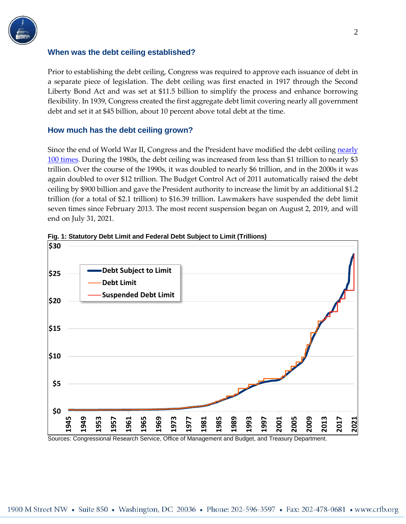

#### **When was the debt ceiling established?**

Prior to establishing the debt ceiling, Congress was required to approve each issuance of debt in a separate piece of legislation. The debt ceiling was first enacted in 1917 through the Second Liberty Bond Act and was set at \$11.5 billion to simplify the process and enhance borrowing flexibility. In 1939, Congress created the first aggregate debt limit covering nearly all government debt and set it at \$45 billion, about 10 percent above total debt at the time.

### <span id="page-1-0"></span>**How much has the debt ceiling grown?**

Since the end of World War II, Congress and the President have modified the debt ceiling nearly 100 [times.](https://fas.org/sgp/crs/misc/IF10292.pdf) During the 1980s, the debt ceiling was increased from less than \$1 trillion to nearly \$3 trillion. Over the course of the 1990s, it was doubled to nearly \$6 trillion, and in the 2000s it was again doubled to over \$12 trillion. The Budget Control Act of 2011 automatically raised the debt ceiling by \$900 billion and gave the President authority to increase the limit by an additional \$1.2 trillion (for a total of \$2.1 trillion) to \$16.39 trillion. Lawmakers have suspended the debt limit seven times since February 2013. The most recent suspension began on August 2, 2019, and will end on July 31, 2021.





Sources: Congressional Research Service, Office of Management and Budget, and Treasury Department.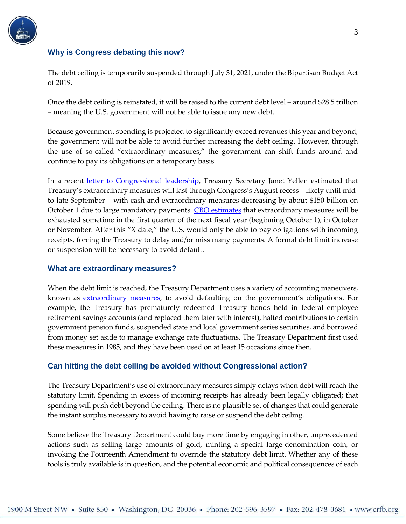

### <span id="page-2-0"></span>**Why is Congress debating this now?**

The debt ceiling is temporarily suspended through July 31, 2021, under the Bipartisan Budget Act of 2019.

Once the debt ceiling is reinstated, it will be raised to the current debt level – around \$28.5 trillion – meaning the U.S. government will not be able to issue any new debt.

Because government spending is projected to significantly exceed revenues this year and beyond, the government will not be able to avoid further increasing the debt ceiling. However, through the use of so-called "extraordinary measures," the government can shift funds around and continue to pay its obligations on a temporary basis.

In a recent [letter to Congressional leadership,](https://home.treasury.gov/news/press-releases/jy0290) Treasury Secretary Janet Yellen estimated that Treasury's extraordinary measures will last through Congress's August recess – likely until midto-late September – with cash and extraordinary measures decreasing by about \$150 billion on October 1 due to large mandatory payments. CBO [estimates](https://www.cbo.gov/publication/57371) that extraordinary measures will be exhausted sometime in the first quarter of the next fiscal year (beginning October 1), in October or November. After this "X date," the U.S. would only be able to pay obligations with incoming receipts, forcing the Treasury to delay and/or miss many payments. A formal debt limit increase or suspension will be necessary to avoid default.

### <span id="page-2-1"></span>**What are extraordinary measures?**

When the debt limit is reached, the Treasury Department uses a variety of accounting maneuvers, known as **extraordinary measures**, to avoid defaulting on the government's obligations. For example, the Treasury has prematurely redeemed Treasury bonds held in federal employee retirement savings accounts (and replaced them later with interest), halted contributions to certain government pension funds, suspended state and local government series securities, and borrowed from money set aside to manage exchange rate fluctuations. The Treasury Department first used these measures in 1985, and they have been used on at least 15 occasions since then.

### <span id="page-2-2"></span>**Can hitting the debt ceiling be avoided without Congressional action?**

The Treasury Department's use of extraordinary measures simply delays when debt will reach the statutory limit. Spending in excess of incoming receipts has already been legally obligated; that spending will push debt beyond the ceiling. There is no plausible set of changes that could generate the instant surplus necessary to avoid having to raise or suspend the debt ceiling.

Some believe the Treasury Department could buy more time by engaging in other, unprecedented actions such as selling large amounts of gold, minting a special large-denomination coin, or invoking the Fourteenth Amendment to override the statutory debt limit. Whether any of these tools is truly available is in question, and the potential economic and political consequences of each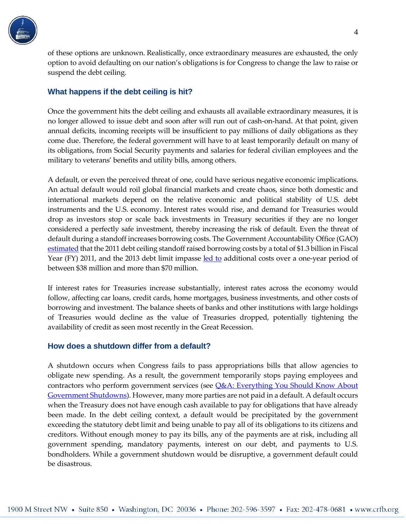

of these options are unknown. Realistically, once extraordinary measures are exhausted, the only option to avoid defaulting on our nation's obligations is for Congress to change the law to raise or suspend the debt ceiling.

### <span id="page-3-0"></span>**What happens if the debt ceiling is hit?**

Once the government hits the debt ceiling and exhausts all available extraordinary measures, it is no longer allowed to issue debt and soon after will run out of cash-on-hand. At that point, given annual deficits, incoming receipts will be insufficient to pay millions of daily obligations as they come due. Therefore, the federal government will have to at least temporarily default on many of its obligations, from Social Security payments and salaries for federal civilian employees and the military to veterans' benefits and utility bills, among others.

A default, or even the perceived threat of one, could have serious negative economic implications. An actual default would roil global financial markets and create chaos, since both domestic and international markets depend on the relative economic and political stability of U.S. debt instruments and the U.S. economy. Interest rates would rise, and demand for Treasuries would drop as investors stop or scale back investments in Treasury securities if they are no longer considered a perfectly safe investment, thereby increasing the risk of default. Even the threat of default during a standoff increases borrowing costs. The Government Accountability Office (GAO) [estimated](http://www.gao.gov/products/GAO-12-701) that the 2011 debt ceiling standoff raised borrowing costs by a total of \$1.3 billion in Fiscal Year (FY) 2011, and the 2013 debt limit impasse [led to](http://www.gao.gov/assets/680/671286.pdf) additional costs over a one-year period of between \$38 million and more than \$70 million.

If interest rates for Treasuries increase substantially, interest rates across the economy would follow, affecting car loans, credit cards, home mortgages, business investments, and other costs of borrowing and investment. The balance sheets of banks and other institutions with large holdings of Treasuries would decline as the value of Treasuries dropped, potentially tightening the availability of credit as seen most recently in the Great Recession.

### <span id="page-3-1"></span>**How does a shutdown differ from a default?**

A shutdown occurs when Congress fails to pass appropriations bills that allow agencies to obligate new spending. As a result, the government temporarily stops paying employees and contractors who perform government services (see *Q&A*: Everything You Should Know About [Government Shutdowns\)](http://www.crfb.org/papers/qa-everything-you-should-know-about-government-shutdowns). However, many more parties are not paid in a default. A default occurs when the Treasury does not have enough cash available to pay for obligations that have already been made. In the debt ceiling context, a default would be precipitated by the government exceeding the statutory debt limit and being unable to pay all of its obligations to its citizens and creditors. Without enough money to pay its bills, any of the payments are at risk, including all government spending, mandatory payments, interest on our debt, and payments to U.S. bondholders. While a government shutdown would be disruptive, a government default could be disastrous.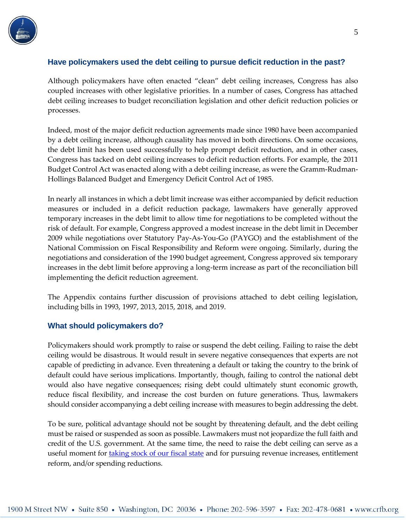

## <span id="page-4-0"></span>**Have policymakers used the debt ceiling to pursue deficit reduction in the past?**

Although policymakers have often enacted "clean" debt ceiling increases, Congress has also coupled increases with other legislative priorities. In a number of cases, Congress has attached debt ceiling increases to budget reconciliation legislation and other deficit reduction policies or processes.

Indeed, most of the major deficit reduction agreements made since 1980 have been accompanied by a debt ceiling increase, although causality has moved in both directions. On some occasions, the debt limit has been used successfully to help prompt deficit reduction, and in other cases, Congress has tacked on debt ceiling increases to deficit reduction efforts. For example, the 2011 Budget Control Act was enacted along with a debt ceiling increase, as were the Gramm-Rudman-Hollings Balanced Budget and Emergency Deficit Control Act of 1985.

In nearly all instances in which a debt limit increase was either accompanied by deficit reduction measures or included in a deficit reduction package, lawmakers have generally approved temporary increases in the debt limit to allow time for negotiations to be completed without the risk of default. For example, Congress approved a modest increase in the debt limit in December 2009 while negotiations over Statutory Pay-As-You-Go (PAYGO) and the establishment of the National Commission on Fiscal Responsibility and Reform were ongoing. Similarly, during the negotiations and consideration of the 1990 budget agreement, Congress approved six temporary increases in the debt limit before approving a long-term increase as part of the reconciliation bill implementing the deficit reduction agreement.

The Appendix contains further discussion of provisions attached to debt ceiling legislation, including bills in 1993, 1997, 2013, 2015, 2018, and 2019.

### <span id="page-4-1"></span>**What should policymakers do?**

Policymakers should work promptly to raise or suspend the debt ceiling. Failing to raise the debt ceiling would be disastrous. It would result in severe negative consequences that experts are not capable of predicting in advance. Even threatening a default or taking the country to the brink of default could have serious implications. Importantly, though, failing to control the national debt would also have negative consequences; rising debt could ultimately stunt economic growth, reduce fiscal flexibility, and increase the cost burden on future generations. Thus, lawmakers should consider accompanying a debt ceiling increase with measures to begin addressing the debt.

To be sure, political advantage should not be sought by threatening default, and the debt ceiling must be raised or suspended as soon as possible. Lawmakers must not jeopardize the full faith and credit of the U.S. government. At the same time, the need to raise the debt ceiling can serve as a useful moment for [taking stock of our fiscal state](https://www.crfb.org/blogs/policymakers-shouldnt-attach-more-borrowing-debt-ceiling-increase) and for pursuing revenue increases, entitlement reform, and/or spending reductions.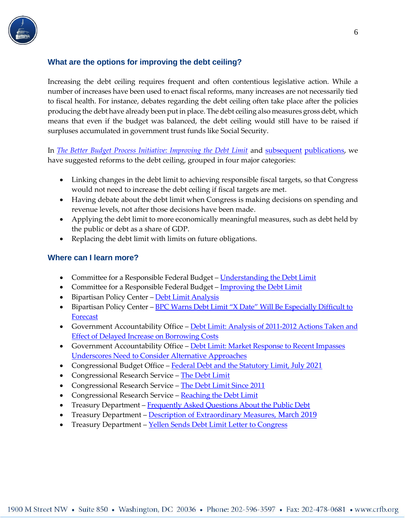

# <span id="page-5-0"></span>**What are the options for improving the debt ceiling?**

Increasing the debt ceiling requires frequent and often contentious legislative action. While a number of increases have been used to enact fiscal reforms, many increases are not necessarily tied to fiscal health. For instance, debates regarding the debt ceiling often take place after the policies producing the debt have already been put in place. The debt ceiling also measures gross debt, which means that even if the budget was balanced, the debt ceiling would still have to be raised if surpluses accumulated in government trust funds like Social Security.

In *[The Better Budget Process Initiative: Improving the Debt Limit](http://www.crfb.org/papers/better-budget-process-initiative-improving-debt-limit)* and [subsequent](https://www.crfb.org/papers/better-budget-process-initiative-recommendations-jsc) [publications,](https://www.crfb.org/blogs/pairing-debt-limit-reform-budget-goals) we have suggested reforms to the debt ceiling, grouped in four major categories:

- Linking changes in the debt limit to achieving responsible fiscal targets, so that Congress would not need to increase the debt ceiling if fiscal targets are met.
- Having debate about the debt limit when Congress is making decisions on spending and revenue levels, not after those decisions have been made.
- Applying the debt limit to more economically meaningful measures, such as debt held by the public or debt as a share of GDP.
- Replacing the debt limit with limits on future obligations.

## <span id="page-5-1"></span>**Where can I learn more?**

- Committee for a Responsible Federal Budget [Understanding the Debt Limit](http://crfb.org/document/understanding-debt-limit)
- Committee for a Responsible Federal Budget [Improving the Debt Limit](http://www.crfb.org/document/better-budget-process-initiative-improving-debt-limit)
- **•** Bipartisan Policy Center [Debt Limit Analysis](https://bipartisanpolicy.org/debt-limit/)
- Bipartisan Policy Center BPC Warns Debt Limit "X Date" Will Be Especially Difficult to **[Forecast](https://bipartisanpolicy.org/press-release/bpc-warns-debt-limit-x-date-will-be-especially-difficult-to-forecast/)**
- Government Accountability Office Debt Limit: Analysis of 2011-2012 Actions Taken and [Effect of Delayed Increase on Borrowing Costs](http://www.gao.gov/products/GAO-12-701)
- Government Accountability Office Debt Limit: Market Response to Recent Impasses [Underscores Need to Consider Alternative Approaches](http://www.gao.gov/products/GAO-15-476)
- Congressional Budget Office [Federal Debt and the Statutory Limit,](https://www.cbo.gov/publication/57152#related_pub) July 2021
- Congressional Research Service [The Debt Limit](https://fas.org/sgp/crs/misc/IF10292.pdf)
- Congressional Research Service [The Debt Limit Since 2011](https://fas.org/sgp/crs/misc/R43389.pdf)
- Congressional Research Service [Reaching the Debt Limit](https://www.fas.org/sgp/crs/misc/R41633.pdf)
- Treasury Department [Frequently Asked Questions About the Public Debt](https://www.treasurydirect.gov/govt/resources/faq/faq_publicdebt.htm)
- Treasury Department [Description of Extraordinary Measures,](https://home.treasury.gov/system/files/136/Description-of-Extraordinary-Measures-03_05_19.pdf) March 2019
- Treasury Department [Yellen Sends Debt Limit Letter to Congress](https://home.treasury.gov/system/files/136/Debt-Limit-Letter-to-Congress-20210723-Pelosi.pdf)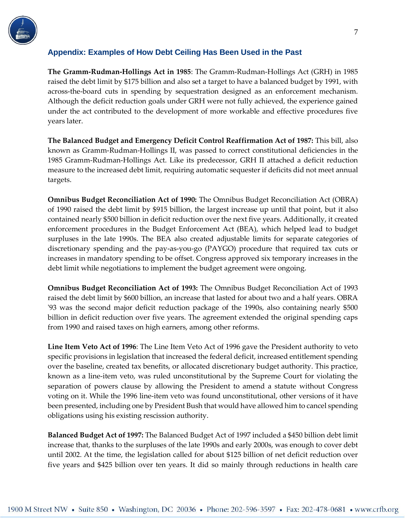

## <span id="page-6-0"></span>**Appendix: Examples of How Debt Ceiling Has Been Used in the Past**

**The Gramm-Rudman-Hollings Act in 1985**: The Gramm-Rudman-Hollings Act (GRH) in 1985 raised the debt limit by \$175 billion and also set a target to have a balanced budget by 1991, with across-the-board cuts in spending by sequestration designed as an enforcement mechanism. Although the deficit reduction goals under GRH were not fully achieved, the experience gained under the act contributed to the development of more workable and effective procedures five years later.

**The Balanced Budget and Emergency Deficit Control Reaffirmation Act of 1987:** This bill, also known as Gramm-Rudman-Hollings II, was passed to correct constitutional deficiencies in the 1985 Gramm-Rudman-Hollings Act. Like its predecessor, GRH II attached a deficit reduction measure to the increased debt limit, requiring automatic sequester if deficits did not meet annual targets.

**Omnibus Budget Reconciliation Act of 1990:** The Omnibus Budget Reconciliation Act (OBRA) of 1990 raised the debt limit by \$915 billion, the largest increase up until that point, but it also contained nearly \$500 billion in deficit reduction over the next five years. Additionally, it created enforcement procedures in the Budget Enforcement Act (BEA), which helped lead to budget surpluses in the late 1990s. The BEA also created adjustable limits for separate categories of discretionary spending and the pay-as-you-go (PAYGO) procedure that required tax cuts or increases in mandatory spending to be offset. Congress approved six temporary increases in the debt limit while negotiations to implement the budget agreement were ongoing.

**Omnibus Budget Reconciliation Act of 1993:** The Omnibus Budget Reconciliation Act of 1993 raised the debt limit by \$600 billion, an increase that lasted for about two and a half years. OBRA '93 was the second major deficit reduction package of the 1990s, also containing nearly \$500 billion in deficit reduction over five years. The agreement extended the original spending caps from 1990 and raised taxes on high earners, among other reforms.

**Line Item Veto Act of 1996**: The Line Item Veto Act of 1996 gave the President authority to veto specific provisions in legislation that increased the federal deficit, increased entitlement spending over the baseline, created tax benefits, or allocated discretionary budget authority. This practice, known as a line-item veto, was ruled unconstitutional by the Supreme Court for violating the separation of powers clause by allowing the President to amend a statute without Congress voting on it. While the 1996 line-item veto was found unconstitutional, other versions of it have been presented, including one by President Bush that would have allowed him to cancel spending obligations using his existing rescission authority.

**Balanced Budget Act of 1997:** The Balanced Budget Act of 1997 included a \$450 billion debt limit increase that, thanks to the surpluses of the late 1990s and early 2000s, was enough to cover debt until 2002. At the time, the legislation called for about \$125 billion of net deficit reduction over five years and \$425 billion over ten years. It did so mainly through reductions in health care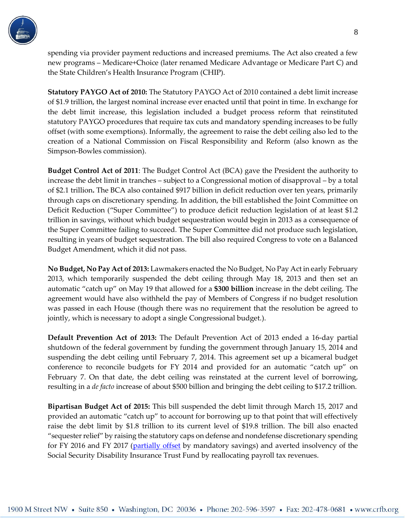

spending via provider payment reductions and increased premiums. The Act also created a few new programs – Medicare+Choice (later renamed Medicare Advantage or Medicare Part C) and the State Children's Health Insurance Program (CHIP).

**Statutory PAYGO Act of 2010:** The Statutory PAYGO Act of 2010 contained a debt limit increase of \$1.9 trillion, the largest nominal increase ever enacted until that point in time. In exchange for the debt limit increase, this legislation included a budget process reform that reinstituted statutory PAYGO procedures that require tax cuts and mandatory spending increases to be fully offset (with some exemptions). Informally, the agreement to raise the debt ceiling also led to the creation of a National Commission on Fiscal Responsibility and Reform (also known as the Simpson-Bowles commission).

**Budget Control Act of 2011**: The Budget Control Act (BCA) gave the President the authority to increase the debt limit in tranches – subject to a Congressional motion of disapproval – by a total of \$2.1 trillion**.** The BCA also contained \$917 billion in deficit reduction over ten years, primarily through caps on discretionary spending. In addition, the bill established the Joint Committee on Deficit Reduction ("Super Committee") to produce deficit reduction legislation of at least \$1.2 trillion in savings, without which budget sequestration would begin in 2013 as a consequence of the Super Committee failing to succeed. The Super Committee did not produce such legislation, resulting in years of budget sequestration. The bill also required Congress to vote on a Balanced Budget Amendment, which it did not pass.

**No Budget, No Pay Act of 2013:** Lawmakers enacted the No Budget, No Pay Act in early February 2013, which temporarily suspended the debt ceiling through May 18, 2013 and then set an automatic "catch up" on May 19 that allowed for a **\$300 billion** increase in the debt ceiling. The agreement would have also withheld the pay of Members of Congress if no budget resolution was passed in each House (though there was no requirement that the resolution be agreed to jointly, which is necessary to adopt a single Congressional budget.).

**Default Prevention Act of 2013:** The Default Prevention Act of 2013 ended a 16-day partial shutdown of the federal government by funding the government through January 15, 2014 and suspending the debt ceiling until February 7, 2014. This agreement set up a bicameral budget conference to reconcile budgets for FY 2014 and provided for an automatic "catch up" on February 7. On that date, the debt ceiling was reinstated at the current level of borrowing, resulting in a *de facto* increase of about \$500 billion and bringing the debt ceiling to \$17.2 trillion.

**Bipartisan Budget Act of 2015:** This bill suspended the debt limit through March 15, 2017 and provided an automatic "catch up" to account for borrowing up to that point that will effectively raise the debt limit by \$1.8 trillion to its current level of \$19.8 trillion. The bill also enacted "sequester relief" by raising the statutory caps on defense and nondefense discretionary spending for FY 2016 and FY 2017 [\(partially offset](http://www.crfb.org/blogs/budget-deal-truly-offsets-only-half-its-cost) by mandatory savings) and averted insolvency of the Social Security Disability Insurance Trust Fund by reallocating payroll tax revenues.